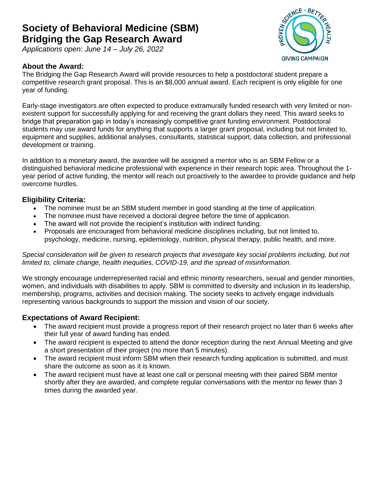## **Society of Behavioral Medicine (SBM) Bridging the Gap Research Award**

*Applications open: June 14 – July 26, 2022*

#### **About the Award:**



The Bridging the Gap Research Award will provide resources to help a postdoctoral student prepare a competitive research grant proposal. This is an \$8,000 annual award. Each recipient is only eligible for one year of funding.

Early-stage investigators are often expected to produce extramurally funded research with very limited or nonexistent support for successfully applying for and receiving the grant dollars they need. This award seeks to bridge that preparation gap in today's increasingly competitive grant funding environment. Postdoctoral students may use award funds for anything that supports a larger grant proposal, including but not limited to, equipment and supplies, additional analyses, consultants, statistical support, data collection, and professional development or training.

In addition to a monetary award, the awardee will be assigned a mentor who is an SBM Fellow or a distinguished behavioral medicine professional with experience in their research topic area. Throughout the 1 year period of active funding, the mentor will reach out proactively to the awardee to provide guidance and help overcome hurdles.

#### **Eligibility Criteria:**

- The nominee must be an SBM student member in good standing at the time of application.
- The nominee must have received a doctoral degree before the time of application.
- The award will not provide the recipient's institution with indirect funding.
- Proposals are encouraged from behavioral medicine disciplines including, but not limited to, psychology, medicine, nursing, epidemiology, nutrition, physical therapy, public health, and more.

#### Special consideration will be given to research projects that investigate key social problems including, but not *limited to, climate change, health inequities, COVID-19, and the spread of misinformation.*

We strongly encourage underrepresented racial and ethnic minority researchers, sexual and gender minorities, women, and individuals with disabilities to apply. SBM is committed to diversity and inclusion in its leadership, membership, programs, activities and decision making. The society seeks to actively engage individuals representing various backgrounds to support the mission and vision of our society.

#### **Expectations of Award Recipient:**

- The award recipient must provide a progress report of their research project no later than 6 weeks after their full year of award funding has ended.
- The award recipient is expected to attend the donor reception during the next Annual Meeting and give a short presentation of their project (no more than 5 minutes).
- The award recipient must inform SBM when their research funding application is submitted, and must share the outcome as soon as it is known.
- The award recipient must have at least one call or personal meeting with their paired SBM mentor shortly after they are awarded, and complete regular conversations with the mentor no fewer than 3 times during the awarded year.